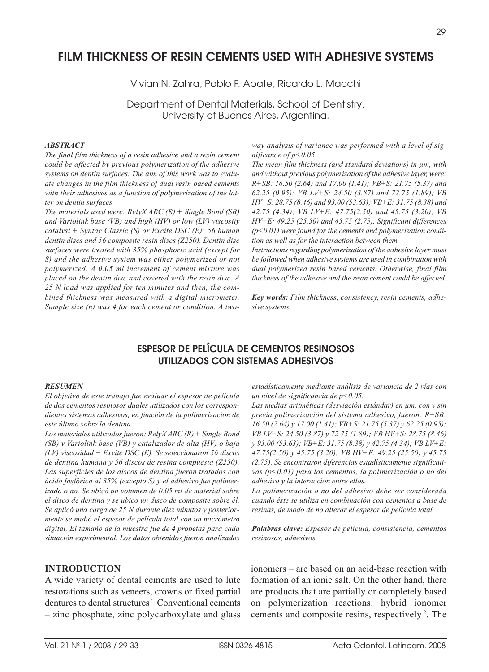# **FILM THICKNESS OF RESIN CEMENTS USED WITH ADHESIVE SYSTEMS**

Vivian N. Zahra, Pablo F. Abate, Ricardo L. Macchi

Department of Dental Materials. School of Dentistry, University of Buenos Aires, Argentina.

### *ABSTRACT*

*The final film thickness of a resin adhesive and a resin cement could be affected by previous polymerization of the adhesive systems on dentin surfaces. The aim of this work was to evaluate changes in the film thickness of dual resin based cements with their adhesives as a function of polymerization of the latter on dentin surfaces.* 

*The materials used were: RelyX ARC (R) + Single Bond (SB) and Variolink base (VB) and high (HV) or low (LV) viscosity catalyst + Syntac Classic (S) or Excite DSC (E); 56 human dentin discs and 56 composite resin discs (Z250). Dentin disc surfaces were treated with 35% phosphoric acid (except for S) and the adhesive system was either polymerized or not polymerized. A 0.05 ml increment of cement mixture was placed on the dentin disc and covered with the resin disc. A 25 N load was applied for ten minutes and then, the combined thickness was measured with a digital micrometer. Sample size (n) was 4 for each cement or condition. A two-* *way analysis of variance was performed with a level of significance of p<0.05.*

*The mean film thickness (and standard deviations) in µm, with and without previous polymerization of the adhesive layer, were: R+SB: 16.50 (2.64) and 17.00 (1.41); VB+S: 21.75 (5.37) and 62.25 (0.95); VB LV+S: 24.50 (3.87) and 72.75 (1.89); VB HV+S: 28.75 (8.46) and 93.00 (53.63); VB+E: 31.75 (8.38) and 42.75 (4.34); VB LV+E: 47.75(2.50) and 45.75 (3.20); VB HV+E: 49.25 (25.50) and 45.75 (2.75). Significant differences (p<0.01) were found for the cements and polymerization condition as well as for the interaction between them.* 

*Instructions regarding polymerization of the adhesive layer must be followed when adhesive systems are used in combination with dual polymerized resin based cements. Otherwise, final film thickness of the adhesive and the resin cement could be affected.* 

*Key words: Film thickness, consistency, resin cements, adhesive systems.*

## **ESPESOR DE PELÍCULA DE CEMENTOS RESINOSOS UTILIZADOS CON SISTEMAS ADHESIVOS**

#### *RESUMEN*

*El objetivo de este trabajo fue evaluar el espesor de película de dos cementos resinosos duales utilizados con los correspondientes sistemas adhesivos, en función de la polimerización de este último sobre la dentina.*

*Los materiales utilizados fueron: RelyX ARC (R) + Single Bond (SB) y Variolink base (VB) y catalizador de alta (HV) o baja (LV) viscosidad + Excite DSC (E). Se seleccionaron 56 discos de dentina humana y 56 discos de resina compuesta (Z250). Las superficies de los discos de dentina fueron tratados con ácido fosfórico al 35% (excepto S) y el adhesivo fue polimerizado o no. Se ubicó un volumen de 0.05 ml de material sobre el disco de dentina y se ubico un disco de composite sobre él. Se aplicó una carga de 25 N durante diez minutos y posteriormente se midió el espesor de película total con un micrómetro digital. El tamaño de la muestra fue de 4 probetas para cada situación experimental. Los datos obtenidos fueron analizados*

### **INTRODUCTION**

A wide variety of dental cements are used to lute restorations such as veneers, crowns or fixed partial dentures to dental structures<sup>1</sup>. Conventional cements – zinc phosphate, zinc polycarboxylate and glass *estadísticamente mediante análisis de variancia de 2 vías con un nivel de significancia de p<0.05.*

*Las medias aritméticas (desviación estándar) en µm, con y sin previa polimerización del sistema adhesivo, fueron: R+SB: 16.50 (2.64) y 17.00 (1.41); VB+S: 21.75 (5.37) y 62.25 (0.95); VB LV+S: 24.50 (3.87) y 72.75 (1.89); VB HV+S: 28.75 (8.46) y 93.00 (53.63); VB+E: 31.75 (8.38) y 42.75 (4.34); VB LV+E: 47.75(2.50) y 45.75 (3.20); VB HV+E: 49.25 (25.50) y 45.75 (2.75). Se encontraron diferencias estadísticamente significativas (p<0.01) para los cementos, la polimerización o no del adhesivo y la interacción entre ellos.* 

*La polimerización o no del adhesivo debe ser considerada cuando éste se utiliza en combinación con cementos a base de resinas, de modo de no alterar el espesor de película total.* 

*Palabras clave: Espesor de película, consistencia, cementos resinosos, adhesivos.*

ionomers – are based on an acid-base reaction with formation of an ionic salt. On the other hand, there are products that are partially or completely based on polymerization reactions: hybrid ionomer cements and composite resins, respectively 2. The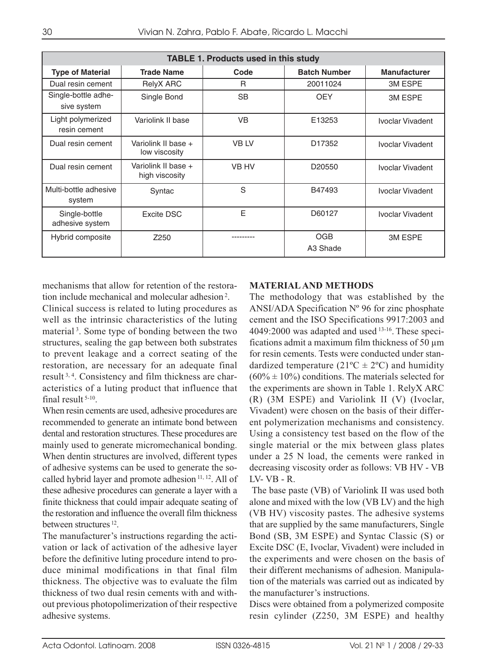| <b>TABLE 1. Products used in this study</b> |                                       |             |                        |                     |  |  |  |  |
|---------------------------------------------|---------------------------------------|-------------|------------------------|---------------------|--|--|--|--|
| <b>Type of Material</b>                     | <b>Trade Name</b>                     | Code        | <b>Batch Number</b>    | <b>Manufacturer</b> |  |  |  |  |
| Dual resin cement                           | RelyX ARC                             | R           | 20011024               | <b>3M ESPE</b>      |  |  |  |  |
| Single-bottle adhe-<br>sive system          | Single Bond                           | <b>SB</b>   | <b>OEY</b>             | <b>3M ESPE</b>      |  |  |  |  |
| Light polymerized<br>resin cement           | Variolink II base                     | VB          | E13253                 | Ivoclar Vivadent    |  |  |  |  |
| Dual resin cement                           | Variolink II base +<br>low viscosity  | <b>VBLV</b> | D17352                 | Ivoclar Vivadent    |  |  |  |  |
| Dual resin cement                           | Variolink II base +<br>high viscosity | VB HV       | D20550                 | Ivoclar Vivadent    |  |  |  |  |
| Multi-bottle adhesive<br>system             | Syntac                                | S           | B47493                 | Ivoclar Vivadent    |  |  |  |  |
| Single-bottle<br>adhesive system            | Excite DSC                            | E           | D60127                 | Ivoclar Vivadent    |  |  |  |  |
| Hybrid composite                            | Z250                                  |             | <b>OGB</b><br>A3 Shade | <b>3M ESPE</b>      |  |  |  |  |

mechanisms that allow for retention of the restoration include mechanical and molecular adhesion <sup>2</sup> .

Clinical success is related to luting procedures as well as the intrinsic characteristics of the luting material 3. Some type of bonding between the two structures, sealing the gap between both substrates to prevent leakage and a correct seating of the restoration, are necessary for an adequate final result 3, 4. Consistency and film thickness are characteristics of a luting product that influence that final result 5-10.

When resin cements are used, adhesive procedures are recommended to generate an intimate bond between dental and restoration structures. These procedures are mainly used to generate micromechanical bonding. When dentin structures are involved, different types of adhesive systems can be used to generate the socalled hybrid layer and promote adhesion 11, 12. All of these adhesive procedures can generate a layer with a finite thickness that could impair adequate seating of the restoration and influence the overall film thickness between structures 12.

The manufacturer's instructions regarding the activation or lack of activation of the adhesive layer before the definitive luting procedure intend to produce minimal modifications in that final film thickness. The objective was to evaluate the film thickness of two dual resin cements with and without previous photopolimerization of their respective adhesive systems.

### **MATERIAL AND METHODS**

The methodology that was established by the ANSI/ADA Specification Nº 96 for zinc phosphate cement and the ISO Specifications 9917:2003 and 4049:2000 was adapted and used 13-16. These specifications admit a maximum film thickness of 50  $\mu$ m for resin cements. Tests were conducted under standardized temperature ( $21^{\circ}C \pm 2^{\circ}C$ ) and humidity  $(60\% \pm 10\%)$  conditions. The materials selected for the experiments are shown in Table 1. RelyX ARC (R) (3M ESPE) and Variolink II (V) (Ivoclar, Vivadent) were chosen on the basis of their different polymerization mechanisms and consistency. Using a consistency test based on the flow of the single material or the mix between glass plates under a 25 N load, the cements were ranked in decreasing viscosity order as follows: VB HV - VB LV- VB - R.

The base paste (VB) of Variolink II was used both alone and mixed with the low (VB LV) and the high (VB HV) viscosity pastes. The adhesive systems that are supplied by the same manufacturers, Single Bond (SB, 3M ESPE) and Syntac Classic (S) or Excite DSC (E, Ivoclar, Vivadent) were included in the experiments and were chosen on the basis of their different mechanisms of adhesion. Manipulation of the materials was carried out as indicated by the manufacturer's instructions.

Discs were obtained from a polymerized composite resin cylinder (Z250, 3M ESPE) and healthy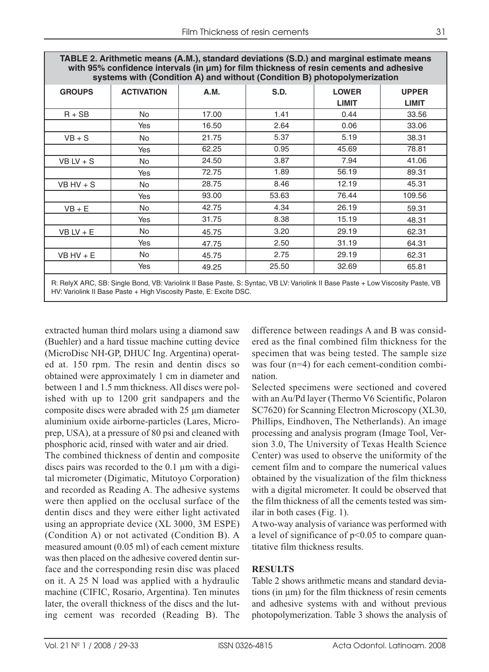| TABLE 2. Arithmetic means (A.M.), standard deviations (S.D.) and marginal estimate means<br>with 95% confidence intervals (in µm) for film thickness of resin cements and adhesive<br>systems with (Condition A) and without (Condition B) photopolymerization |                   |       |       |              |              |  |
|----------------------------------------------------------------------------------------------------------------------------------------------------------------------------------------------------------------------------------------------------------------|-------------------|-------|-------|--------------|--------------|--|
| <b>GROUPS</b>                                                                                                                                                                                                                                                  | <b>ACTIVATION</b> | A.M.  | S.D.  | <b>LOWER</b> | <b>UPPER</b> |  |
|                                                                                                                                                                                                                                                                |                   |       |       | <b>LIMIT</b> | <b>LIMIT</b> |  |
| $R + SB$                                                                                                                                                                                                                                                       | No.               | 17.00 | 1.41  | 0.44         | 33.56        |  |
|                                                                                                                                                                                                                                                                | Yes               | 16.50 | 2.64  | 0.06         | 33.06        |  |
| $VB + S$                                                                                                                                                                                                                                                       | No.               | 21.75 | 5.37  | 5.19         | 38.31        |  |
|                                                                                                                                                                                                                                                                | Yes               | 62.25 | 0.95  | 45.69        | 78.81        |  |
| $VB$ LV + S                                                                                                                                                                                                                                                    | No.               | 24.50 | 3.87  | 7.94         | 41.06        |  |
|                                                                                                                                                                                                                                                                | Yes               | 72.75 | 1.89  | 56.19        | 89.31        |  |
| $VB$ HV + S                                                                                                                                                                                                                                                    | No.               | 28.75 | 8.46  | 12.19        | 45.31        |  |
|                                                                                                                                                                                                                                                                | Yes               | 93.00 | 53.63 | 76.44        | 109.56       |  |
| $VB + E$                                                                                                                                                                                                                                                       | No.               | 42.75 | 4.34  | 26.19        | 59.31        |  |
|                                                                                                                                                                                                                                                                | Yes               | 31.75 | 8.38  | 15.19        | 48.31        |  |
| $VB LV + E$                                                                                                                                                                                                                                                    | No.               | 45.75 | 3.20  | 29.19        | 62.31        |  |
|                                                                                                                                                                                                                                                                | Yes               | 47.75 | 2.50  | 31.19        | 64.31        |  |
| $VB$ HV + E                                                                                                                                                                                                                                                    | No.               | 45.75 | 2.75  | 29.19        | 62.31        |  |
|                                                                                                                                                                                                                                                                | Yes               | 49.25 | 25.50 | 32.69        | 65.81        |  |
| D. DeluV ADO, CD. Cinele Dand, VD. Verialial: Il Dese Doste, C. Cuptos, VD I Vi Verialial: Il Dese Doste, Law Vicessity Doste, VD                                                                                                                              |                   |       |       |              |              |  |

R: RelyX ARC, SB: Single Bond, VB: Variolink II Base Paste, S: Syntac, VB LV: Variolink II Base Paste + Low Viscosity Paste, VB HV: Variolink II Base Paste + High Viscosity Paste, E: Excite DSC.

extracted human third molars using a diamond saw (Buehler) and a hard tissue machine cutting device (MicroDisc NH-GP, DHUC Ing. Argentina) operated at. 150 rpm. The resin and dentin discs so obtained were approximately 1 cm in diameter and between 1 and 1.5 mm thickness. All discs were polished with up to 1200 grit sandpapers and the composite discs were abraded with 25 µm diameter aluminium oxide airborne-particles (Lares, Microprep, USA), at a pressure of 80 psi and cleaned with phosphoric acid, rinsed with water and air dried.

The combined thickness of dentin and composite discs pairs was recorded to the 0.1 µm with a digital micrometer (Digimatic, Mitutoyo Corporation) and recorded as Reading A. The adhesive systems were then applied on the occlusal surface of the dentin discs and they were either light activated using an appropriate device (XL 3000, 3M ESPE) (Condition A) or not activated (Condition B). A measured amount (0.05 ml) of each cement mixture was then placed on the adhesive covered dentin surface and the corresponding resin disc was placed on it. A 25 N load was applied with a hydraulic machine (CIFIC, Rosario, Argentina). Ten minutes later, the overall thickness of the discs and the luting cement was recorded (Reading B). The

difference between readings A and B was considered as the final combined film thickness for the specimen that was being tested. The sample size was four (n=4) for each cement-condition combination.

Selected specimens were sectioned and covered with an Au/Pd layer (Thermo V6 Scientific, Polaron SC7620) for Scanning Electron Microscopy (XL30, Phillips, Eindhoven, The Netherlands). An image processing and analysis program (Image Tool, Version 3.0, The University of Texas Health Science Center) was used to observe the uniformity of the cement film and to compare the numerical values obtained by the visualization of the film thickness with a digital micrometer. It could be observed that the film thickness of all the cements tested was similar in both cases (Fig. 1).

A two-way analysis of variance was performed with a level of significance of  $p<0.05$  to compare quantitative film thickness results.

### **RESULTS**

Table 2 shows arithmetic means and standard deviations (in  $\mu$ m) for the film thickness of resin cements and adhesive systems with and without previous photopolymerization. Table 3 shows the analysis of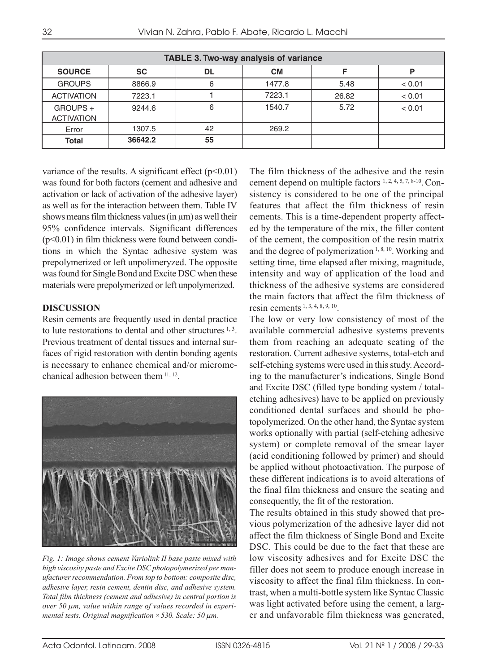| <b>TABLE 3. Two-way analysis of variance</b> |           |    |           |       |        |  |  |  |
|----------------------------------------------|-----------|----|-----------|-------|--------|--|--|--|
| <b>SOURCE</b>                                | <b>SC</b> | DL | <b>CM</b> |       | P      |  |  |  |
| <b>GROUPS</b>                                | 8866.9    | 6  | 1477.8    | 5.48  | < 0.01 |  |  |  |
| <b>ACTIVATION</b>                            | 7223.1    |    | 7223.1    | 26.82 | < 0.01 |  |  |  |
| GROUPS +<br><b>ACTIVATION</b>                | 9244.6    | 6  | 1540.7    | 5.72  | < 0.01 |  |  |  |
| Error                                        | 1307.5    | 42 | 269.2     |       |        |  |  |  |
| <b>Total</b>                                 | 36642.2   | 55 |           |       |        |  |  |  |

variance of the results. A significant effect  $(p<0.01)$ was found for both factors (cement and adhesive and activation or lack of activation of the adhesive layer) as well as for the interaction between them. Table IV shows means film thickness values (in  $\mu$ m) as well their 95% confidence intervals. Significant differences  $(p<0.01)$  in film thickness were found between conditions in which the Syntac adhesive system was prepolymerized or left unpolimeryzed. The opposite was found for Single Bond and Excite DSC when these materials were prepolymerized or left unpolymerized.

### **DISCUSSION**

Resin cements are frequently used in dental practice to lute restorations to dental and other structures  $1, 3$ . Previous treatment of dental tissues and internal surfaces of rigid restoration with dentin bonding agents is necessary to enhance chemical and/or micromechanical adhesion between them  $11, 12$ .



*Fig. 1: Image shows cement Variolink II base paste mixed with high viscosity paste and Excite DSC photopolymerized per manufacturer recommendation. From top to bottom: composite disc, adhesive layer, resin cement, dentin disc, and adhesive system. Total film thickness (cement and adhesive) in central portion is over 50* μ*m, value within range of values recorded in experimental tests. Original magnification ×530. Scale: 50* μ*m.*

The film thickness of the adhesive and the resin cement depend on multiple factors 1, 2, 4, 5, 7, 8-10. Consistency is considered to be one of the principal features that affect the film thickness of resin cements. This is a time-dependent property affected by the temperature of the mix, the filler content of the cement, the composition of the resin matrix and the degree of polymerization  $1, 8, 10$ . Working and setting time, time elapsed after mixing, magnitude, intensity and way of application of the load and thickness of the adhesive systems are considered the main factors that affect the film thickness of resin cements 1, 3, 4, 8, 9, 10.

The low or very low consistency of most of the available commercial adhesive systems prevents them from reaching an adequate seating of the restoration. Current adhesive systems, total-etch and self-etching systems were used in this study. According to the manufacturer's indications, Single Bond and Excite DSC (filled type bonding system / totaletching adhesives) have to be applied on previously conditioned dental surfaces and should be photopolymerized. On the other hand, the Syntac system works optionally with partial (self-etching adhesive system) or complete removal of the smear layer (acid conditioning followed by primer) and should be applied without photoactivation. The purpose of these different indications is to avoid alterations of the final film thickness and ensure the seating and consequently, the fit of the restoration.

The results obtained in this study showed that previous polymerization of the adhesive layer did not affect the film thickness of Single Bond and Excite DSC. This could be due to the fact that these are low viscosity adhesives and for Excite DSC the filler does not seem to produce enough increase in viscosity to affect the final film thickness. In contrast, when a multi-bottle system like Syntac Classic was light activated before using the cement, a larger and unfavorable film thickness was generated,